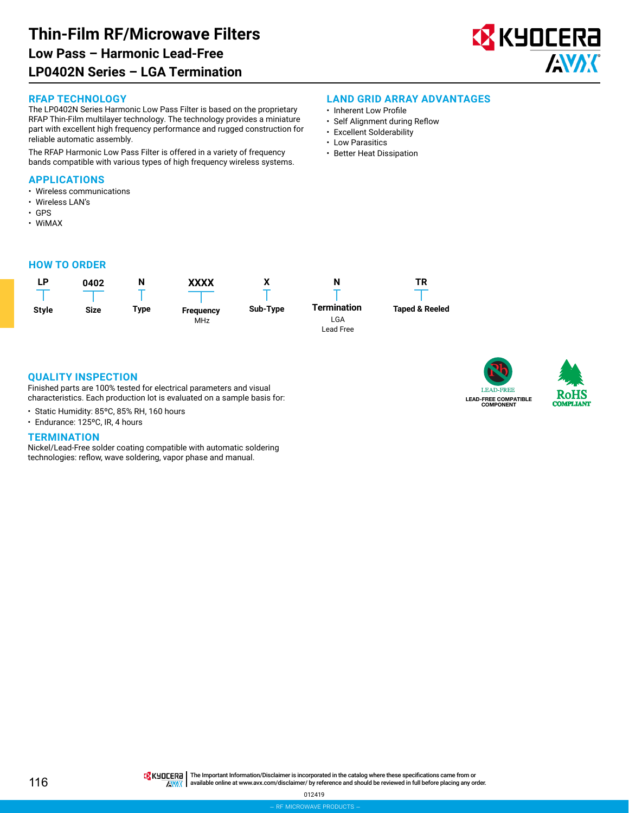# **Thin-Film RF/Microwave Filters LP0402N Series – LGA Termination Low Pass – Harmonic Lead-Free**



#### **RFAP TECHNOLOGY**

The LP0402N Series Harmonic Low Pass Filter is based on the proprietary RFAP Thin-Film multilayer technology. The technology provides a miniature part with excellent high frequency performance and rugged construction for reliable automatic assembly.

The RFAP Harmonic Low Pass Filter is offered in a variety of frequency bands compatible with various types of high frequency wireless systems.

### **APPLICATIONS**

- Wireless communications
- Wireless LAN's
- GPS • WiMAX
- **HOW TO ORDER**



### **LAND GRID ARRAY ADVANTAGES**

- Inherent Low Profile
- Self Alignment during Reflow
- Excellent Solderability
- Low Parasitics
- Better Heat Dissipation



**N**

**Taped & Reeled**

**TR**

**LEAD-FREE** LEAD-FREE COMPATIBLE COMPONENT



**QUALITY INSPECTION**

Finished parts are 100% tested for electrical parameters and visual characteristics. Each production lot is evaluated on a sample basis for:

- Static Humidity: 85ºC, 85% RH, 160 hours
- Endurance: 125ºC, IR, 4 hours

#### **TERMINATION**

Nickel/Lead-Free solder coating compatible with automatic soldering technologies: reflow, wave soldering, vapor phase and manual.

116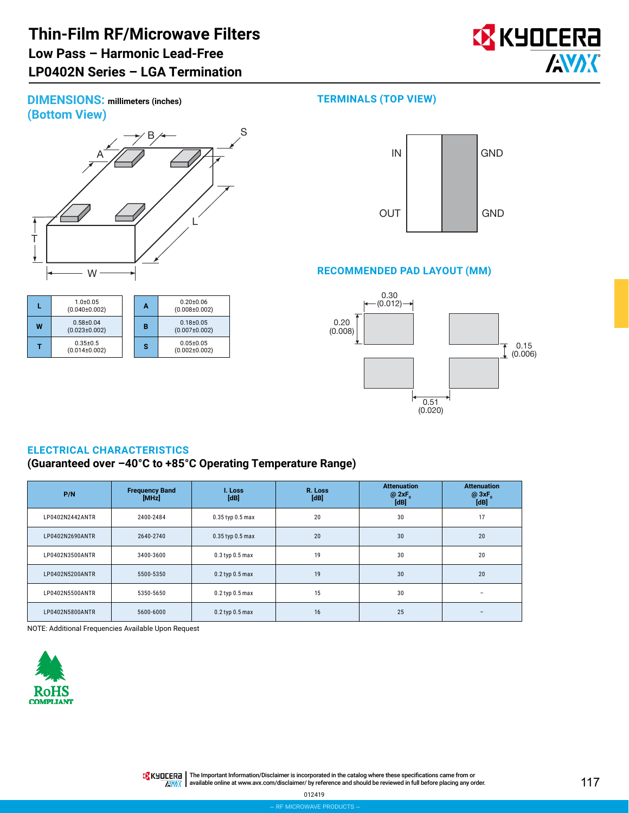# **Thin-Film RF/Microwave Filters LP0402N Series – LGA Termination Low Pass – Harmonic Lead-Free**



**DIMENSIONS: millimeters (inches) (Bottom View)**



|   | $1.0 + 0.05$<br>$(0.040\pm0.002)$    | Α | $0.20 + 0.06$<br>$(0.008 \pm 0.002)$ |
|---|--------------------------------------|---|--------------------------------------|
| W | $0.58 + 0.04$<br>$(0.023 \pm 0.002)$ | в | $0.18 + 0.05$<br>$(0.007 \pm 0.002)$ |
|   | $0.35 + 0.5$<br>(0.014±0.002)        | s | $0.05 + 0.05$<br>$(0.002 \pm 0.002)$ |

# **TERMINALS (TOP VIEW)**



## **RECOMMENDED PAD LAYOUT (MM)**



# **ELECTRICAL CHARACTERISTICS**

## **(Guaranteed over –40°C to +85°C Operating Temperature Range)**

| P/N             | <b>Frequency Band</b><br>[MHz] | I. Loss<br>[dB]      | R. Loss<br>[dB] | <b>Attenuation</b><br>@2xF<br>[dB] | <b>Attenuation</b><br>$@3xF_n$<br>[dB] |
|-----------------|--------------------------------|----------------------|-----------------|------------------------------------|----------------------------------------|
| LP0402N2442ANTR | 2400-2484                      | $0.35$ typ $0.5$ max | 20              | 30                                 | 17                                     |
| LP0402N2690ANTR | 2640-2740                      | $0.35$ typ $0.5$ max | 20              | 30                                 | 20                                     |
| LP0402N3500ANTR | 3400-3600                      | $0.3$ typ $0.5$ max  | 19              | 30                                 | 20                                     |
| LP0402N5200ANTR | 5500-5350                      | $0.2$ typ $0.5$ max  | 19              | 30                                 | 20                                     |
| LP0402N5500ANTR | 5350-5650                      | $0.2$ typ $0.5$ max  | 15              | 30                                 |                                        |
| LP0402N5800ANTR | 5600-6000                      | $0.2$ typ $0.5$ max  | 16              | 25                                 |                                        |

NOTE: Additional Frequencies Available Upon Request



THE IMPORTANT IN The Important Information/Disclaimer is incorporated in the catalog where these specifications came from or available online at [www.avx.com/disclaimer/](http://www.avx.com/disclaimer/) by reference and should be reviewed in full before placing any order.**ANAK**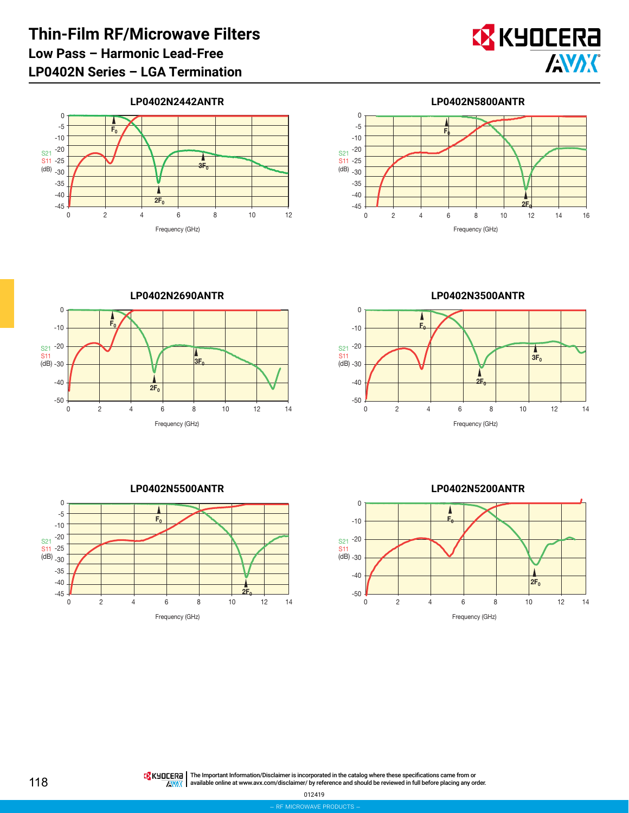

# **LP0402N2442ANTR**





**LP0402N2690ANTR** 0 2 4 6 8 10 12 14 S21 S11 (dB) Frequency (GHz) 0 -10 -20 -30 -40 -50  $\overline{E}$  $2F<sub>0</sub>$  $3{\sf E}_0$ 

**LP0402N3500ANTR**





**LP0402N5200ANTR**



The Important Information/Disclaimer is incorporated in the catalog where these specifications came from or available online at [www.avx.com/disclaimer/](http://www.avx.com/disclaimer/) by reference and should be reviewed in full before placing any order.**ANOX**